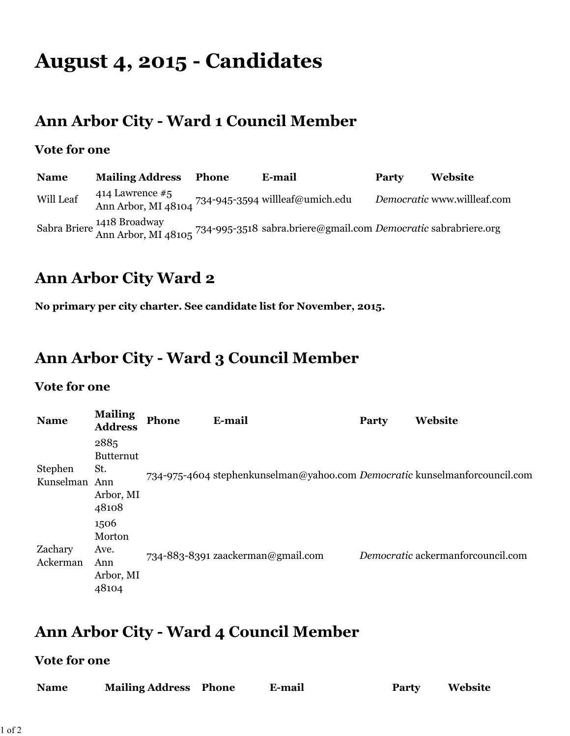# **August 4, 2015 - Candidates**

### **Ann Arbor City - Ward 1 Council Member**

#### **Vote for one**

| <b>Name</b> | <b>Mailing Address</b> | Phone | E-mail                                                                                                           | Party | <b>Website</b>              |
|-------------|------------------------|-------|------------------------------------------------------------------------------------------------------------------|-------|-----------------------------|
| Will Leaf   | 414 Lawrence $#5$      |       | Ann Arbor, MI 48104 734-945-3594 willleaf@umich.edu                                                              |       | Democratic www.willleaf.com |
|             |                        |       | Sabra Briere 1418 Broadway<br>Ann Arbor, MI 48105 734-995-3518 sabra.briere@gmail.com Democratic sabrabriere.org |       |                             |

### **Ann Arbor City Ward 2**

**No primary per city charter. See candidate list for November, 2015.**

## **Ann Arbor City - Ward 3 Council Member**

#### **Vote for one**

| <b>Name</b>          | <b>Mailing</b><br><b>Address</b>                             | <b>Phone</b> | E-mail                                                                     | Party | Website                           |
|----------------------|--------------------------------------------------------------|--------------|----------------------------------------------------------------------------|-------|-----------------------------------|
| Stephen<br>Kunselman | 2885<br><b>Butternut</b><br>St.<br>Ann<br>Arbor, MI<br>48108 |              | 734-975-4604 stephenkunselman@yahoo.com Democratic kunselmanforcouncil.com |       |                                   |
| Zachary<br>Ackerman  | 1506<br>Morton<br>Ave.<br>Ann<br>Arbor, MI<br>48104          |              | 734-883-8391 zaackerman@gmail.com                                          |       | Democratic ackermanforcouncil.com |

## **Ann Arbor City - Ward 4 Council Member**

#### **Vote for one**

| <b>Name</b> | <b>Mailing Address Phone</b> | <b>E-mail</b> | <b>Party</b> | Website |
|-------------|------------------------------|---------------|--------------|---------|
|             |                              |               |              |         |